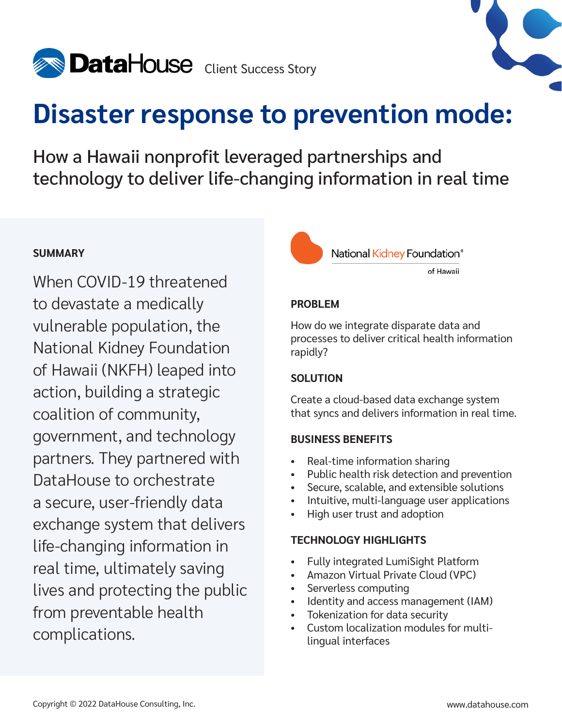



# **Disaster response to prevention mode:**

How a Hawaii nonprofit leveraged partnerships and technology to deliver life-changing information in real time

### **SUMMARY**

When COVID-19 threatened to devastate a medically vulnerable population, the National Kidney Foundation of Hawaii (NKFH) leaped into action, building a strategic coalition of community, government, and technology partners. They partnered with DataHouse to orchestrate a secure, user-friendly data exchange system that delivers life-changing information in real time, ultimately saving lives and protecting the public from preventable health complications.

National Kidney Foundation®

of Hawaii

### **PROBLEM**

How do we integrate disparate data and processes to deliver critical health information rapidly?

### **SOLUTION**

Create a cloud-based data exchange system that syncs and delivers information in real time.

### **BUSINESS BENEFITS**

- Real-time information sharing
- Public health risk detection and prevention
- Secure, scalable, and extensible solutions
- Intuitive, multi-language user applications
- High user trust and adoption

### **TECHNOLOGY HIGHLIGHTS**

- Fully integrated LumiSight Platform
- Amazon Virtual Private Cloud (VPC)
- Serverless computing
- Identity and access management (IAM)
- Tokenization for data security
- Custom localization modules for multilingual interfaces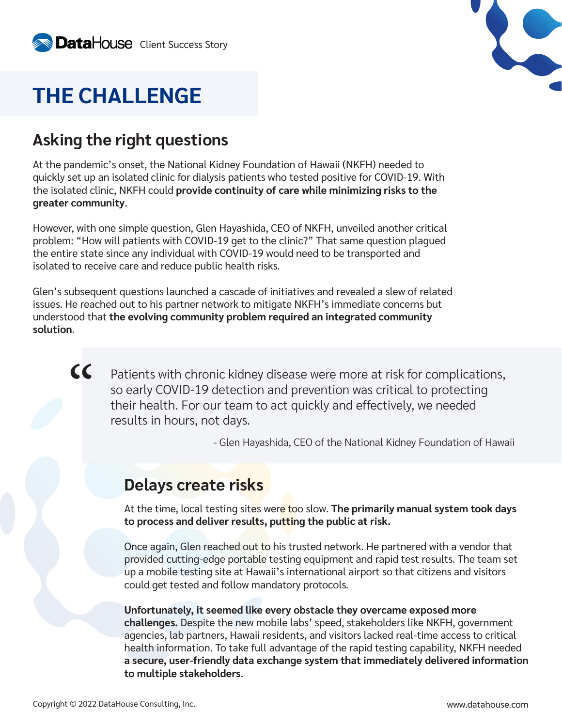

## **THE CHALLENGE**

## **Asking the right questions**

At the pandemic's onset, the National Kidney Foundation of Hawaii (NKFH) needed to quickly set up an isolated clinic for dialysis patients who tested positive for COVID-19. With the isolated clinic, NKFH could **provide continuity of care while minimizing risks to the greater community**.

However, with one simple question, Glen Hayashida, CEO of NKFH, unveiled another critical problem: "How will patients with COVID-19 get to the clinic?" That same question plagued the entire state since any individual with COVID-19 would need to be transported and isolated to receive care and reduce public health risks.

Glen's subsequent questions launched a cascade of initiatives and revealed a slew of related issues. He reached out to his partner network to mitigate NKFH's immediate concerns but understood that **the evolving community problem required an integrated community solution**.

Patients with chronic kidney disease were more at risk for complications, so early COVID-19 detection and prevention was critical to protecting their health. For our team to act quickly and effectively, we needed results in hours, not days.  $\overline{\mathcal{C}}$ 

- Glen Hayashida, CEO of the National Kidney Foundation of Hawaii

### **Delays create risks**

At the time, local testing sites were too slow. **The primarily manual system took days to process and deliver results, putting the public at risk.**

Once again, Glen reached out to his trusted network. He partnered with a vendor that provided cutting-edge portable testing equipment and rapid test results. The team set up a mobile testing site at Hawaii's international airport so that citizens and visitors could get tested and follow mandatory protocols.

**Unfortunately, it seemed like every obstacle they overcame exposed more challenges.** Despite the new mobile labs' speed, stakeholders like NKFH, government agencies, lab partners, Hawaii residents, and visitors lacked real-time access to critical health information. To take full advantage of the rapid testing capability, NKFH needed **a secure, user-friendly data exchange system that immediately delivered information to multiple stakeholders**.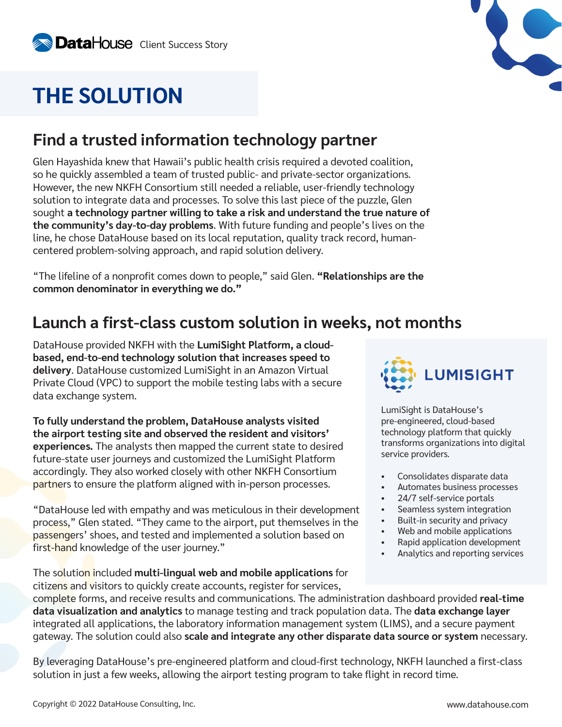## **THE SOLUTION**

## **Find a trusted information technology partner**

Glen Hayashida knew that Hawaii's public health crisis required a devoted coalition, so he quickly assembled a team of trusted public- and private-sector organizations. However, the new NKFH Consortium still needed a reliable, user-friendly technology solution to integrate data and processes. To solve this last piece of the puzzle, Glen sought **a technology partner willing to take a risk and understand the true nature of the community's day-to-day problems**. With future funding and people's lives on the line, he chose DataHouse based on its local reputation, quality track record, humancentered problem-solving approach, and rapid solution delivery.

"The lifeline of a nonprofit comes down to people," said Glen. **"Relationships are the common denominator in everything we do."**

## **Launch a first-class custom solution in weeks, not months**

DataHouse provided NKFH with the **LumiSight Platform, a cloudbased, end-to-end technology solution that increases speed to delivery**. DataHouse customized LumiSight in an Amazon Virtual Private Cloud (VPC) to support the mobile testing labs with a secure data exchange system.

**To fully understand the problem, DataHouse analysts visited the airport testing site and observed the resident and visitors' experiences.** The analysts then mapped the current state to desired future-state user journeys and customized the LumiSight Platform accordingly. They also worked closely with other NKFH Consortium partners to ensure the platform aligned with in-person processes.

"DataHouse led with empathy and was meticulous in their development process," Glen stated. "They came to the airport, put themselves in the passengers' shoes, and tested and implemented a solution based on first-hand knowledge of the user journey."

The solution included **multi-lingual web and mobile applications** for citizens and visitors to quickly create accounts, register for services,



LumiSight is DataHouse's pre-engineered, cloud-based technology platform that quickly transforms organizations into digital service providers.

- Consolidates disparate data
- Automates business processes
- 24/7 self-service portals
- Seamless system integration
- Built-in security and privacy
- Web and mobile applications
- Rapid application development
- Analytics and reporting services

complete forms, and receive results and communications. The administration dashboard provided **real-time data visualization and analytics** to manage testing and track population data. The **data exchange layer**  integrated all applications, the laboratory information management system (LIMS), and a secure payment gateway. The solution could also **scale and integrate any other disparate data source or system** necessary.

By leveraging DataHouse's pre-engineered platform and cloud-first technology, NKFH launched a first-class solution in just a few weeks, allowing the airport testing program to take flight in record time.